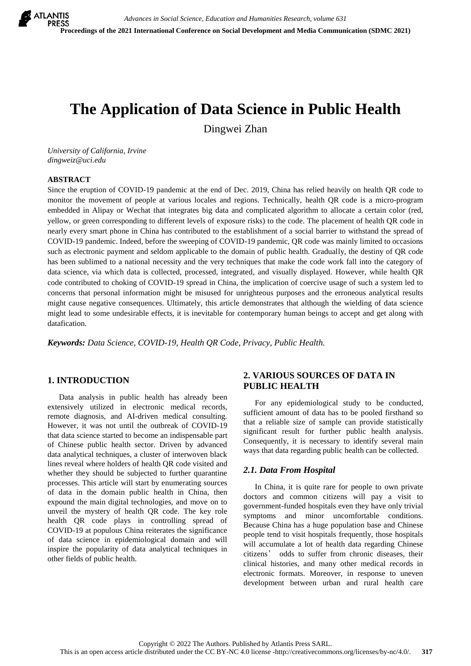# **The Application of Data Science in Public Health**

Dingwei Zhan

*University of California, Irvine dingweiz@uci.edu*

#### **ABSTRACT**

Since the eruption of COVID-19 pandemic at the end of Dec. 2019, China has relied heavily on health QR code to monitor the movement of people at various locales and regions. Technically, health QR code is a micro-program embedded in Alipay or Wechat that integrates big data and complicated algorithm to allocate a certain color (red, yellow, or green corresponding to different levels of exposure risks) to the code. The placement of health QR code in nearly every smart phone in China has contributed to the establishment of a social barrier to withstand the spread of COVID-19 pandemic. Indeed, before the sweeping of COVID-19 pandemic, QR code was mainly limited to occasions such as electronic payment and seldom applicable to the domain of public health. Gradually, the destiny of QR code has been sublimed to a national necessity and the very techniques that make the code work fall into the category of data science, via which data is collected, processed, integrated, and visually displayed. However, while health QR code contributed to choking of COVID-19 spread in China, the implication of coercive usage of such a system led to concerns that personal information might be misused for unrighteous purposes and the erroneous analytical results might cause negative consequences. Ultimately, this article demonstrates that although the wielding of data science might lead to some undesirable effects, it is inevitable for contemporary human beings to accept and get along with datafication.

*Keywords: Data Science, COVID-19, Health QR Code, Privacy, Public Health.*

# **1. INTRODUCTION**

Data analysis in public health has already been extensively utilized in electronic medical records, remote diagnosis, and AI-driven medical consulting. However, it was not until the outbreak of COVID-19 that data science started to become an indispensable part of Chinese public health sector. Driven by advanced data analytical techniques, a cluster of interwoven black lines reveal where holders of health QR code visited and whether they should be subjected to further quarantine processes. This article will start by enumerating sources of data in the domain public health in China, then expound the main digital technologies, and move on to unveil the mystery of health QR code. The key role health QR code plays in controlling spread of COVID-19 at populous China reiterates the significance of data science in epidemiological domain and will inspire the popularity of data analytical techniques in other fields of public health.

## **2. VARIOUS SOURCES OF DATA IN PUBLIC HEALTH**

For any epidemiological study to be conducted, sufficient amount of data has to be pooled firsthand so that a reliable size of sample can provide statistically significant result for further public health analysis. Consequently, it is necessary to identify several main ways that data regarding public health can be collected.

#### *2.1. Data From Hospital*

In China, it is quite rare for people to own private doctors and common citizens will pay a visit to government-funded hospitals even they have only trivial symptoms and minor uncomfortable conditions. Because China has a huge population base and Chinese people tend to visit hospitals frequently, those hospitals will accumulate a lot of health data regarding Chinese citizens' odds to suffer from chronic diseases, their clinical histories, and many other medical records in electronic formats. Moreover, in response to uneven development between urban and rural health care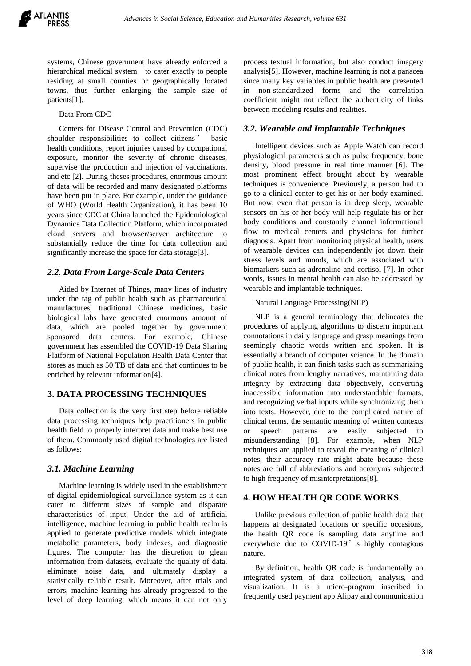systems, Chinese government have already enforced a hierarchical medical system to cater exactly to people residing at small counties or geographically located towns, thus further enlarging the sample size of patients[1].

#### Data From CDC

Centers for Disease Control and Prevention (CDC) shoulder responsibilities to collect citizens ' basic health conditions, report injuries caused by occupational exposure, monitor the severity of chronic diseases, supervise the production and injection of vaccinations, and etc [2]. During theses procedures, enormous amount of data will be recorded and many designated platforms have been put in place. For example, under the guidance of WHO (World Health Organization), it has been 10 years since CDC at China launched the Epidemiological Dynamics Data Collection Platform, which incorporated cloud servers and browser/server architecture to substantially reduce the time for data collection and significantly increase the space for data storage[3].

#### *2.2. Data From Large-Scale Data Centers*

Aided by Internet of Things, many lines of industry under the tag of public health such as pharmaceutical manufactures, traditional Chinese medicines, basic biological labs have generated enormous amount of data, which are pooled together by government sponsored data centers. For example, Chinese government has assembled the COVID-19 Data Sharing Platform of National Population Health Data Center that stores as much as 50 TB of data and that continues to be enriched by relevant information[4].

## **3. DATA PROCESSING TECHNIQUES**

Data collection is the very first step before reliable data processing techniques help practitioners in public health field to properly interpret data and make best use of them. Commonly used digital technologies are listed as follows:

#### *3.1. Machine Learning*

Machine learning is widely used in the establishment of digital epidemiological surveillance system as it can cater to different sizes of sample and disparate characteristics of input. Under the aid of artificial intelligence, machine learning in public health realm is applied to generate predictive models which integrate metabolic parameters, body indexes, and diagnostic figures. The computer has the discretion to glean information from datasets, evaluate the quality of data, eliminate noise data, and ultimately display a statistically reliable result. Moreover, after trials and errors, machine learning has already progressed to the level of deep learning, which means it can not only process textual information, but also conduct imagery analysis[5]. However, machine learning is not a panacea since many key variables in public health are presented in non-standardized forms and the correlation coefficient might not reflect the authenticity of links between modeling results and realities.

#### *3.2. Wearable and Implantable Techniques*

Intelligent devices such as Apple Watch can record physiological parameters such as pulse frequency, bone density, blood pressure in real time manner [6]. The most prominent effect brought about by wearable techniques is convenience. Previously, a person had to go to a clinical center to get his or her body examined. But now, even that person is in deep sleep, wearable sensors on his or her body will help regulate his or her body conditions and constantly channel informational flow to medical centers and physicians for further diagnosis. Apart from monitoring physical health, users of wearable devices can independently jot down their stress levels and moods, which are associated with biomarkers such as adrenaline and cortisol [7]. In other words, issues in mental health can also be addressed by wearable and implantable techniques.

Natural Language Processing(NLP)

NLP is a general terminology that delineates the procedures of applying algorithms to discern important connotations in daily language and grasp meanings from seemingly chaotic words written and spoken. It is essentially a branch of computer science. In the domain of public health, it can finish tasks such as summarizing clinical notes from lengthy narratives, maintaining data integrity by extracting data objectively, converting inaccessible information into understandable formats, and recognizing verbal inputs while synchronizing them into texts. However, due to the complicated nature of clinical terms, the semantic meaning of written contexts or speech patterns are easily subjected to misunderstanding [8]. For example, when NLP techniques are applied to reveal the meaning of clinical notes, their accuracy rate might abate because these notes are full of abbreviations and acronyms subjected to high frequency of misinterpretations[8].

#### **4. HOW HEALTH QR CODE WORKS**

Unlike previous collection of public health data that happens at designated locations or specific occasions, the health QR code is sampling data anytime and everywhere due to COVID-19' s highly contagious nature.

By definition, health QR code is fundamentally an integrated system of data collection, analysis, and visualization. It is a micro-program inscribed in frequently used payment app Alipay and communication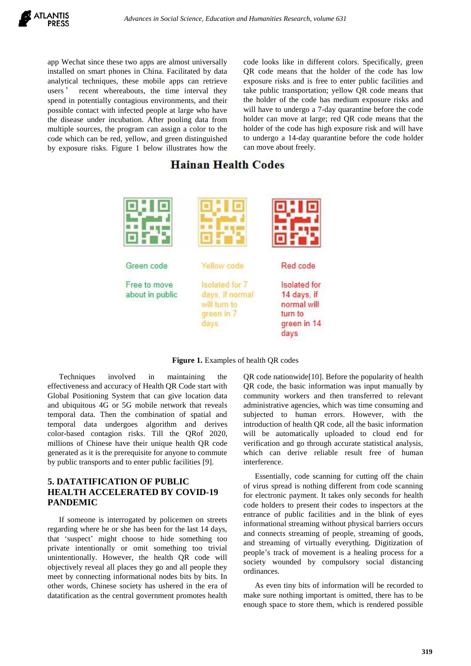

app Wechat since these two apps are almost universally installed on smart phones in China. Facilitated by data analytical techniques, these mobile apps can retrieve users' recent whereabouts, the time interval they spend in potentially contagious environments, and their possible contact with infected people at large who have the disease under incubation. After pooling data from multiple sources, the program can assign a color to the code which can be red, yellow, and green distinguished by exposure risks. Figure 1 below illustrates how the code looks like in different colors. Specifically, green QR code means that the holder of the code has low exposure risks and is free to enter public facilities and take public transportation; yellow QR code means that the holder of the code has medium exposure risks and will have to undergo a 7-day quarantine before the code holder can move at large; red QR code means that the holder of the code has high exposure risk and will have to undergo a 14-day quarantine before the code holder can move about freely.

# **Hainan Health Codes**



**Figure 1.** Examples of health QR codes

Techniques involved in maintaining the effectiveness and accuracy of Health QR Code start with Global Positioning System that can give location data and ubiquitous 4G or 5G mobile network that reveals temporal data. Then the combination of spatial and temporal data undergoes algorithm and derives color-based contagion risks. Till the QRof 2020, millions of Chinese have their unique health QR code generated as it is the prerequisite for anyone to commute by public transports and to enter public facilities [9].

# **5. DATATIFICATION OF PUBLIC HEALTH ACCELERATED BY COVID-19 PANDEMIC**

If someone is interrogated by policemen on streets regarding where he or she has been for the last 14 days, that 'suspect' might choose to hide something too private intentionally or omit something too trivial unintentionally. However, the health QR code will objectively reveal all places they go and all people they meet by connecting informational nodes bits by bits. In other words, Chinese society has ushered in the era of datatification as the central government promotes health

QR code nationwide[10]. Before the popularity of health QR code, the basic information was input manually by community workers and then transferred to relevant administrative agencies, which was time consuming and subjected to human errors. However, with the introduction of health QR code, all the basic information will be automatically uploaded to cloud end for verification and go through accurate statistical analysis, which can derive reliable result free of human interference.

Essentially, code scanning for cutting off the chain of virus spread is nothing different from code scanning for electronic payment. It takes only seconds for health code holders to present their codes to inspectors at the entrance of public facilities and in the blink of eyes informational streaming without physical barriers occurs and connects streaming of people, streaming of goods, and streaming of virtually everything. Digitization of people's track of movement is a healing process for a society wounded by compulsory social distancing ordinances.

As even tiny bits of information will be recorded to make sure nothing important is omitted, there has to be enough space to store them, which is rendered possible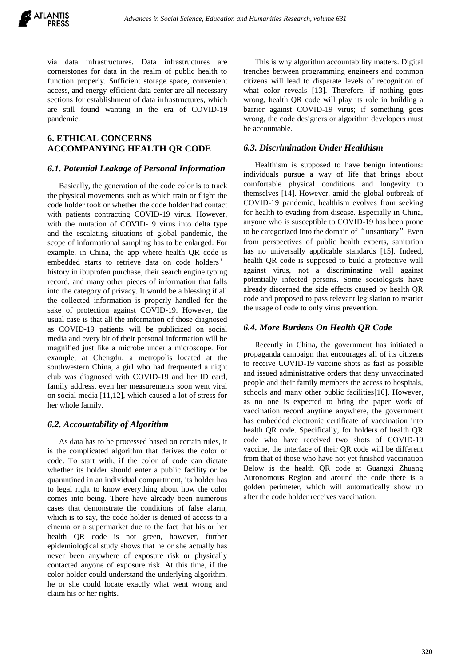

via data infrastructures. Data infrastructures are cornerstones for data in the realm of public health to function properly. Sufficient storage space, convenient access, and energy-efficient data center are all necessary sections for establishment of data infrastructures, which are still found wanting in the era of COVID-19 pandemic.

# **6. ETHICAL CONCERNS ACCOMPANYING HEALTH QR CODE**

#### *6.1. Potential Leakage of Personal Information*

Basically, the generation of the code color is to track the physical movements such as which train or flight the code holder took or whether the code holder had contact with patients contracting COVID-19 virus. However, with the mutation of COVID-19 virus into delta type and the escalating situations of global pandemic, the scope of informational sampling has to be enlarged. For example, in China, the app where health QR code is embedded starts to retrieve data on code holders' history in ibuprofen purchase, their search engine typing record, and many other pieces of information that falls into the category of privacy. It would be a blessing if all the collected information is properly handled for the sake of protection against COVID-19. However, the usual case is that all the information of those diagnosed as COVID-19 patients will be publicized on social media and every bit of their personal information will be magnified just like a microbe under a microscope. For example, at Chengdu, a metropolis located at the southwestern China, a girl who had frequented a night club was diagnosed with COVID-19 and her ID card, family address, even her measurements soon went viral on social media [11,12], which caused a lot of stress for her whole family.

#### *6.2. Accountability of Algorithm*

As data has to be processed based on certain rules, it is the complicated algorithm that derives the color of code. To start with, if the color of code can dictate whether its holder should enter a public facility or be quarantined in an individual compartment, its holder has to legal right to know everything about how the color comes into being. There have already been numerous cases that demonstrate the conditions of false alarm, which is to say, the code holder is denied of access to a cinema or a supermarket due to the fact that his or her health QR code is not green, however, further epidemiological study shows that he or she actually has never been anywhere of exposure risk or physically contacted anyone of exposure risk. At this time, if the color holder could understand the underlying algorithm, he or she could locate exactly what went wrong and claim his or her rights.

This is why algorithm accountability matters. Digital trenches between programming engineers and common citizens will lead to disparate levels of recognition of what color reveals [13]. Therefore, if nothing goes wrong, health QR code will play its role in building a barrier against COVID-19 virus; if something goes wrong, the code designers or algorithm developers must be accountable.

#### *6.3. Discrimination Under Healthism*

Healthism is supposed to have benign intentions: individuals pursue a way of life that brings about comfortable physical conditions and longevity to themselves [14]. However, amid the global outbreak of COVID-19 pandemic, healthism evolves from seeking for health to evading from disease. Especially in China, anyone who is susceptible to COVID-19 has been prone to be categorized into the domain of "unsanitary". Even from perspectives of public health experts, sanitation has no universally applicable standards [15]. Indeed, health QR code is supposed to build a protective wall against virus, not a discriminating wall against potentially infected persons. Some sociologists have already discerned the side effects caused by health QR code and proposed to pass relevant legislation to restrict the usage of code to only virus prevention.

#### *6.4. More Burdens On Health QR Code*

Recently in China, the government has initiated a propaganda campaign that encourages all of its citizens to receive COVID-19 vaccine shots as fast as possible and issued administrative orders that deny unvaccinated people and their family members the access to hospitals, schools and many other public facilities[16]. However, as no one is expected to bring the paper work of vaccination record anytime anywhere, the government has embedded electronic certificate of vaccination into health QR code. Specifically, for holders of health QR code who have received two shots of COVID-19 vaccine, the interface of their QR code will be different from that of those who have not yet finished vaccination. Below is the health QR code at Guangxi Zhuang Autonomous Region and around the code there is a golden perimeter, which will automatically show up after the code holder receives vaccination.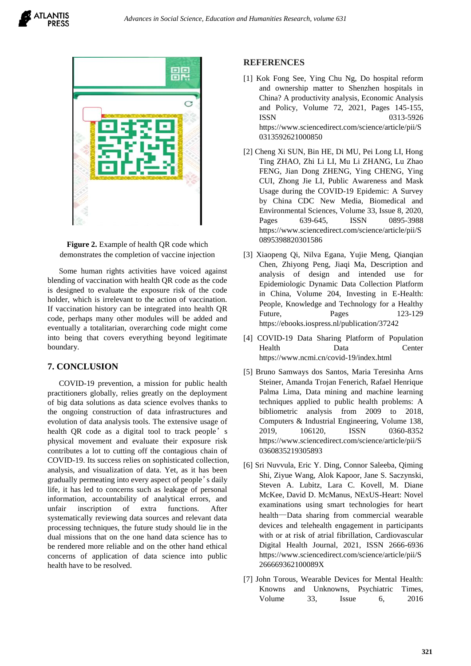





Some human rights activities have voiced against blending of vaccination with health QR code as the code is designed to evaluate the exposure risk of the code holder, which is irrelevant to the action of vaccination. If vaccination history can be integrated into health QR code, perhaps many other modules will be added and eventually a totalitarian, overarching code might come into being that covers everything beyond legitimate boundary.

#### **7. CONCLUSION**

COVID-19 prevention, a mission for public health practitioners globally, relies greatly on the deployment of big data solutions as data science evolves thanks to the ongoing construction of data infrastructures and evolution of data analysis tools. The extensive usage of health QR code as a digital tool to track people's physical movement and evaluate their exposure risk contributes a lot to cutting off the contagious chain of COVID-19. Its success relies on sophisticated collection, analysis, and visualization of data. Yet, as it has been gradually permeating into every aspect of people's daily life, it has led to concerns such as leakage of personal information, accountability of analytical errors, and unfair inscription of extra functions. After systematically reviewing data sources and relevant data processing techniques, the future study should lie in the dual missions that on the one hand data science has to be rendered more reliable and on the other hand ethical concerns of application of data science into public health have to be resolved.

#### **REFERENCES**

- [1] Kok Fong See, Ying Chu Ng, Do hospital reform and ownership matter to Shenzhen hospitals in China? A productivity analysis, Economic Analysis and Policy, Volume 72, 2021, Pages 145-155, ISSN 0313-5926 [https://www.sciencedirect.com/science/article/pii/S](https://www.sciencedirect.com/science/article/pii/S0313592621000850) [0313592621000850](https://www.sciencedirect.com/science/article/pii/S0313592621000850)
- [2] Cheng Xi SUN, Bin HE, Di MU, Pei Long LI, Hong Ting ZHAO, Zhi Li LI, Mu Li ZHANG, Lu Zhao FENG, Jian Dong ZHENG, Ying CHENG, Ying CUI, Zhong Jie LI, Public Awareness and Mask Usage during the COVID-19 Epidemic: A Survey by China CDC New Media, Biomedical and Environmental Sciences, Volume 33, Issue 8, 2020, Pages 639-645, ISSN 0895-3988 [https://www.sciencedirect.com/science/article/pii/S](https://www.sciencedirect.com/science/article/pii/S0895398820301586) [0895398820301586](https://www.sciencedirect.com/science/article/pii/S0895398820301586)
- [3] Xiaopeng Qi, Nilva Egana, Yujie Meng, Qianqian Chen, Zhiyong Peng, Jiaqi Ma, Description and analysis of design and intended use for Epidemiologic Dynamic Data Collection Platform in China, Volume 204, Investing in E-Health: People, Knowledge and Technology for a Healthy Future, Pages 123-129 <https://ebooks.iospress.nl/publication/37242>
- [4] COVID-19 Data Sharing Platform of Population Health Data Center <https://www.ncmi.cn/covid-19/index.html>
- [5] Bruno Samways dos Santos, Maria Teresinha Arns Steiner, Amanda Trojan Fenerich, Rafael Henrique Palma Lima, Data mining and machine learning techniques applied to public health problems: A bibliometric analysis from 2009 to 2018, Computers & Industrial Engineering, Volume 138, 2019, 106120, ISSN 0360-8352 [https://www.sciencedirect.com/science/article/pii/S](https://www.sciencedirect.com/science/article/pii/S0360835219305893) [0360835219305893](https://www.sciencedirect.com/science/article/pii/S0360835219305893)
- [6] Sri Nuvvula, Eric Y. Ding, Connor Saleeba, Qiming Shi, Ziyue Wang, Alok Kapoor, Jane S. Saczynski, Steven A. Lubitz, Lara C. Kovell, M. Diane McKee, David D. McManus, NExUS-Heart: Novel examinations using smart technologies for heart health—Data sharing from commercial wearable devices and telehealth engagement in participants with or at risk of atrial fibrillation, Cardiovascular Digital Health Journal, 2021, ISSN 2666-6936 [https://www.sciencedirect.com/science/article/pii/S](https://www.sciencedirect.com/science/article/pii/S266669362100089X) [266669362100089X](https://www.sciencedirect.com/science/article/pii/S266669362100089X)
- [7] John Torous, Wearable Devices for Mental Health: Knowns and Unknowns, Psychiatric Times, Volume 33, Issue 6, 2016